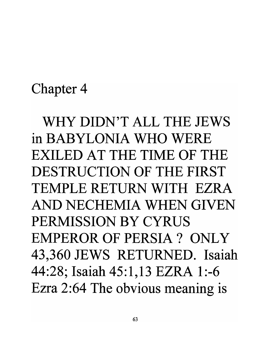## Chapter 4

WHY DIDN'T ALL THE JEWS in BABYLONIA WHO WERE EXILED AT THE TIME OF THE DESTRUCTION OF THE FIRST TEMPLE RETURN WITH EZRA AND NECHEMIA WHEN GIVEN PERMISSION BY CYRUS EMPEROR OF PERSIA ? ONLY 43,360 JEWS RETURNED. Isaiah 44:28; Isaiah 45:1,13 EZRA 1:-6 Ezra 2:64 The obvious meaning is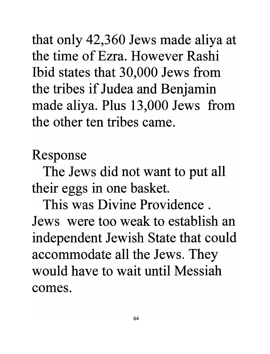that only 42,360 Jews made aliya at the time of Ezra. However Rashi Ibid states that 30,000 Jews from the tribes if Judea and Benjamin made aliya. Plus 13,000 Jews from the other ten tribes came.

Response

The Jews did not want to put all their eggs in one basket.

This was Divine Providence . Jews were too weak to establish an independent Jewish State that could accommodate all the Jews. They would have to wait until Messiah comes.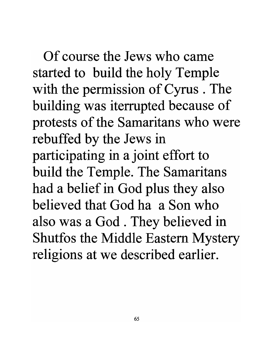Of course the Jews who came started to build the holy Temple with the permission of Cyrus. The building was iterrupted because of protests of the Samaritans who were rebuffed by the Jews in participating in a joint effort to build the Temple. The Samaritans had a belief in God plus they also believed that God ha a Son who also was a God . They believed in Shutfos the Middle Eastern Mystery religions at we described earlier.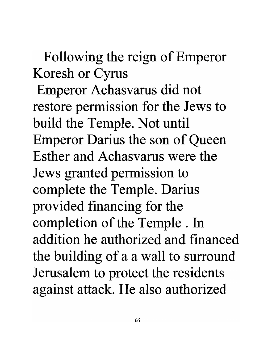Following the reign of Emperor Koresh or Cyrus Emperor Achasvarus did not restore permission for the Jews to build the Temple. Not until Emperor Darius the son of Queen Esther and Achasvarus were the Jews granted permission to complete the Temple. Darius provided financing for the completion of the Temple. In addition he authorized and financed the building of a a wall to surround Jerusalem to protect the residents against attack. He also authorized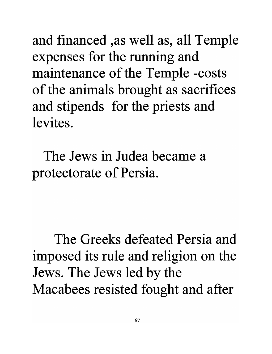and financed ,as well as, all Temple expenses for the running and maintenance of the Temple -costs of the animals brought as sacrifices and stipends for the priests and levites.

The Jews in Judea became a protectorate of Persia.

The Greeks defeated Persia and imposed its rule and religion on the Jews. The Jews led by the Macabees resisted fought and after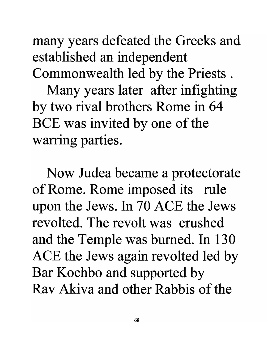many years defeated the Greeks and established an independent Commonwealth led by the Priests .

Many years later after infighting by two rival brothers Rome in 64 BCE was invited by one of the warring parties.

Now Judea became a protectorate of Rome. Rome imposed its rule upon the Jews. In 70 ACE the Jews revolted. The revolt was crushed and the Temple was burned. In 130 ACE the Jews again revolted led by Bar Kochbo and supported by Rav Akiva and other Rabbis of the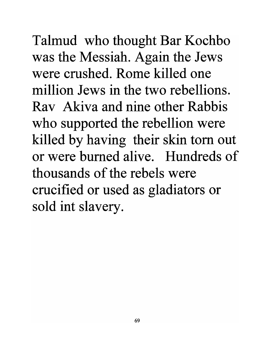Talmud who thought Bar Kochbo was the Messiah. Again the Jews were crushed. Rome killed one million Jews in the two rebellions. Rav Akiva and nine other Rabbis who supported the rebellion were killed by having their skin tom out or were burned alive. Hundreds of thousands of the rebels were crucified or used as gladiators or sold int slavery.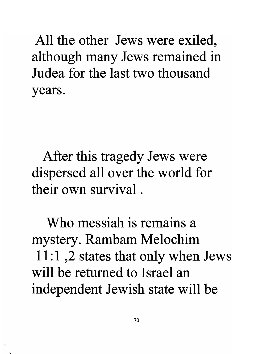All the other Jews were exiled, although many Jews remained in Judea for the last two thousand years.

After this tragedy Jews were dispersed all over the world for their own survival .

Who messiah is remains a mystery. Rambam Melochim 11:1, 2 states that only when Jews will be returned to Israel an independent Jewish state will be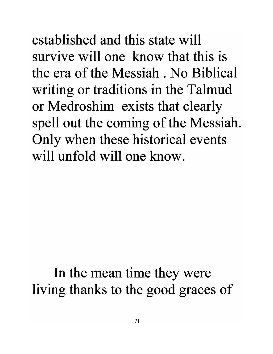established and this state will survive will one know that this is the era of the Messiah. No Biblical writing or traditions in the Talmud or Medroshim exists that clearly spell out the coming of the Messiah. Only when these historical events will unfold will one know.

## In the mean time they were living thanks to the good graces of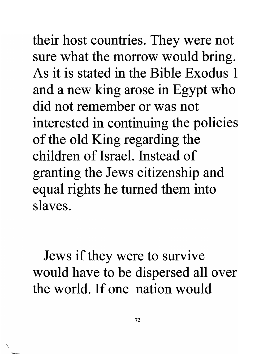their host countries. They were not sure what the morrow would bring. As it is stated in the Bible Exodus 1 and a new king arose in Egypt who did not remember or was not interested in continuing the policies of the old King regarding the children of Israel. Instead of granting the Jews citizenship and equal rights he turned them into slaves.

Jews if they were to survive would have to be dispersed all over the world. If one nation would

 $\checkmark$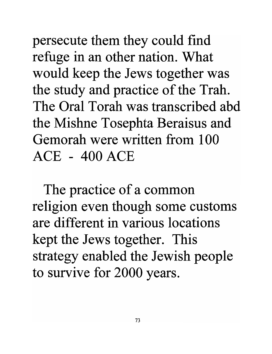persecute them they could find refuge in an other nation. What would keep the Jews together was the study and practice of the Trah. The Oral Torah was transcribed abd the Mishne Tosephta Beraisus and Gemorah were written from 100 ACE - 400 ACE

The practice of a common religion even though some customs are different in various locations kept the Jews together. This strategy enabled the Jewish people to survive for 2000 years.